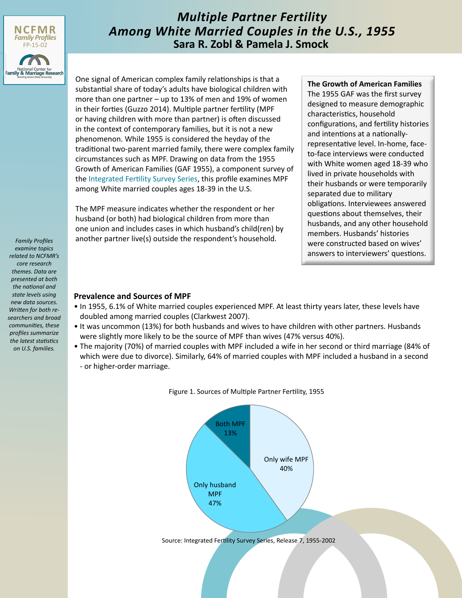

# *Multiple Partner Fertility Among White Married Couples in the U.S., 1955* **Sara R. Zobl & Pamela J. Smock**

One signal of American complex family relationships is that a substantial share of today's adults have biological children with more than one partner – up to 13% of men and 19% of women in their forties (Guzzo 2014). Multiple partner fertility (MPF or having children with more than partner) is often discussed in the context of contemporary families, but it is not a new phenomenon. While 1955 is considered the heyday of the traditional two-parent married family, there were complex family circumstances such as MPF. Drawing on data from the 1955 Growth of American Families (GAF 1955), a component survey of the [Integrated Fertility Survey Series,](http://www.icpsr.umich.edu/icpsrweb/IFSS/) this profile examines MPF among White married couples ages 18-39 in the U.S.

The MPF measure indicates whether the respondent or her husband (or both) had biological children from more than one union and includes cases in which husband's child(ren) by another partner live(s) outside the respondent's household.

#### **The Growth of American Families**

The 1955 GAF was the first survey designed to measure demographic characteristics, household configurations, and fertility histories and intentions at a nationallyrepresentative level. In-home, faceto-face interviews were conducted with White women aged 18-39 who lived in private households with their husbands or were temporarily separated due to military obligations. Interviewees answered questions about themselves, their husbands, and any other household members. Husbands' histories were constructed based on wives' answers to interviewers' questions.

#### **Prevalence and Sources of MPF**

- In 1955, 6.1% of White married couples experienced MPF. At least thirty years later, these levels have doubled among married couples (Clarkwest 2007).
- It was uncommon (13%) for both husbands and wives to have children with other partners. Husbands were slightly more likely to be the source of MPF than wives (47% versus 40%).
- The majority (70%) of married couples with MPF included a wife in her second or third marriage (84% of which were due to divorce). Similarly, 64% of married couples with MPF included a husband in a second - or higher-order marriage.



Figure 1. Sources of Multiple Partner Fertility, 1955

*Family Profiles examine topics related to NCFMR's core research themes. Data are presented at both the national and state levels using new data sources. Written for both researchers and broad communities, these profiles summarize the latest statistics on U.S. families.*